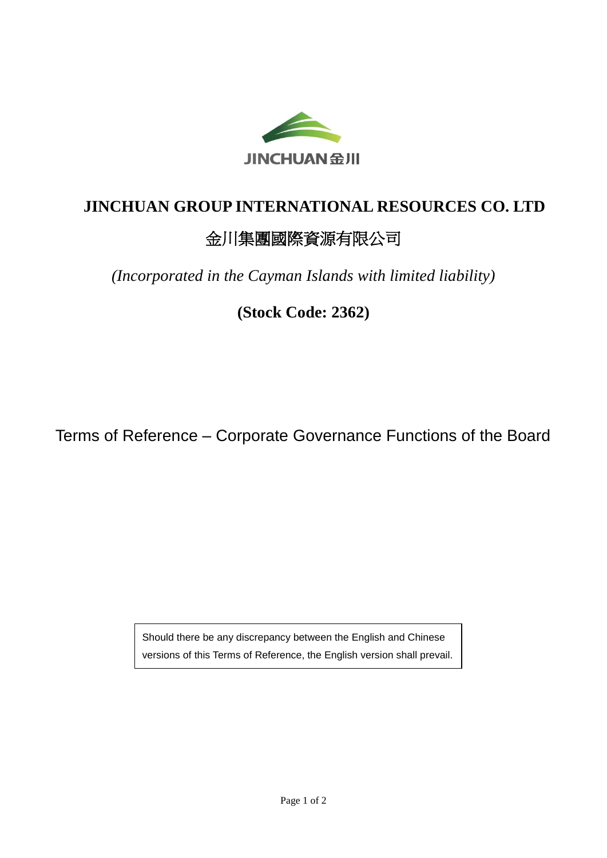

## **JINCHUAN GROUP INTERNATIONAL RESOURCES CO. LTD**

## 金川集團國際資源有限公司

*(Incorporated in the Cayman Islands with limited liability)*

**(Stock Code: 2362)**

Terms of Reference – Corporate Governance Functions of the Board

Should there be any discrepancy between the English and Chinese versions of this Terms of Reference, the English version shall prevail.